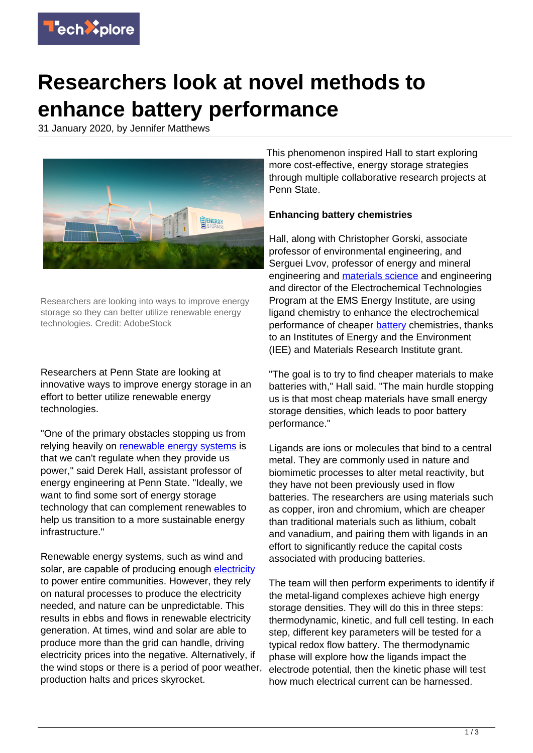

## **Researchers look at novel methods to enhance battery performance**

31 January 2020, by Jennifer Matthews



Researchers are looking into ways to improve energy storage so they can better utilize renewable energy technologies. Credit: AdobeStock

Researchers at Penn State are looking at innovative ways to improve energy storage in an effort to better utilize renewable energy technologies.

"One of the primary obstacles stopping us from relying heavily on [renewable energy systems](https://techxplore.com/tags/renewable+energy+systems/) is that we can't regulate when they provide us power," said Derek Hall, assistant professor of energy engineering at Penn State. "Ideally, we want to find some sort of energy storage technology that can complement renewables to help us transition to a more sustainable energy infrastructure."

Renewable energy systems, such as wind and solar, are capable of producing enough [electricity](https://techxplore.com/tags/electricity/) to power entire communities. However, they rely on natural processes to produce the electricity needed, and nature can be unpredictable. This results in ebbs and flows in renewable electricity generation. At times, wind and solar are able to produce more than the grid can handle, driving electricity prices into the negative. Alternatively, if the wind stops or there is a period of poor weather, production halts and prices skyrocket.

This phenomenon inspired Hall to start exploring more cost-effective, energy storage strategies through multiple collaborative research projects at Penn State.

## **Enhancing battery chemistries**

Hall, along with Christopher Gorski, associate professor of environmental engineering, and Serguei Lvov, professor of energy and mineral engineering and [materials science](https://techxplore.com/tags/materials+science/) and engineering and director of the Electrochemical Technologies Program at the EMS Energy Institute, are using ligand chemistry to enhance the electrochemical performance of cheaper [battery](https://techxplore.com/tags/battery/) chemistries, thanks to an Institutes of Energy and the Environment (IEE) and Materials Research Institute grant.

"The goal is to try to find cheaper materials to make batteries with," Hall said. "The main hurdle stopping us is that most cheap materials have small energy storage densities, which leads to poor battery performance."

Ligands are ions or molecules that bind to a central metal. They are commonly used in nature and biomimetic processes to alter metal reactivity, but they have not been previously used in flow batteries. The researchers are using materials such as copper, iron and chromium, which are cheaper than traditional materials such as lithium, cobalt and vanadium, and pairing them with ligands in an effort to significantly reduce the capital costs associated with producing batteries.

The team will then perform experiments to identify if the metal-ligand complexes achieve high energy storage densities. They will do this in three steps: thermodynamic, kinetic, and full cell testing. In each step, different key parameters will be tested for a typical redox flow battery. The thermodynamic phase will explore how the ligands impact the electrode potential, then the kinetic phase will test how much electrical current can be harnessed.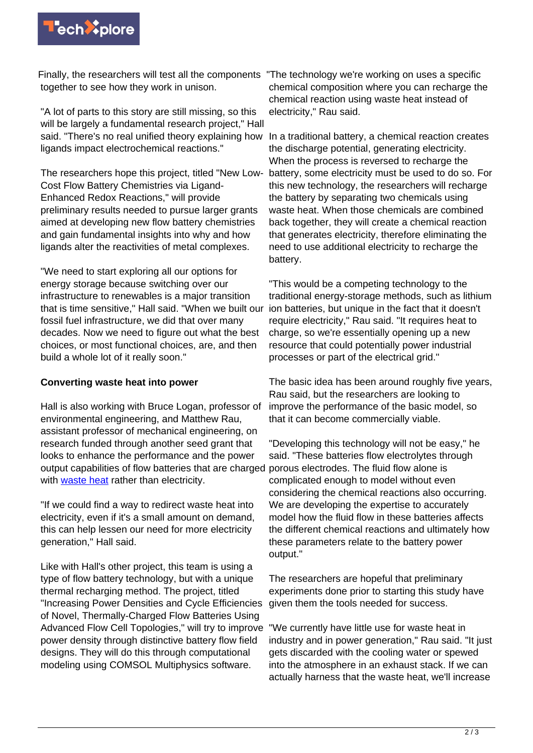

Finally, the researchers will test all the components "The technology we're working on uses a specific together to see how they work in unison.

"A lot of parts to this story are still missing, so this will be largely a fundamental research project." Hall said. "There's no real unified theory explaining how ligands impact electrochemical reactions."

The researchers hope this project, titled "New Low-Cost Flow Battery Chemistries via Ligand-Enhanced Redox Reactions," will provide preliminary results needed to pursue larger grants aimed at developing new flow battery chemistries and gain fundamental insights into why and how ligands alter the reactivities of metal complexes.

"We need to start exploring all our options for energy storage because switching over our infrastructure to renewables is a major transition that is time sensitive," Hall said. "When we built our fossil fuel infrastructure, we did that over many decades. Now we need to figure out what the best choices, or most functional choices, are, and then build a whole lot of it really soon."

## **Converting waste heat into power**

Hall is also working with Bruce Logan, professor of environmental engineering, and Matthew Rau, assistant professor of mechanical engineering, on research funded through another seed grant that looks to enhance the performance and the power output capabilities of flow batteries that are charged with [waste heat](https://techxplore.com/tags/waste+heat/) rather than electricity.

"If we could find a way to redirect waste heat into electricity, even if it's a small amount on demand, this can help lessen our need for more electricity generation," Hall said.

Like with Hall's other project, this team is using a type of flow battery technology, but with a unique thermal recharging method. The project, titled "Increasing Power Densities and Cycle Efficiencies of Novel, Thermally-Charged Flow Batteries Using Advanced Flow Cell Topologies," will try to improve power density through distinctive battery flow field designs. They will do this through computational modeling using COMSOL Multiphysics software.

chemical composition where you can recharge the chemical reaction using waste heat instead of electricity," Rau said.

In a traditional battery, a chemical reaction creates the discharge potential, generating electricity. When the process is reversed to recharge the battery, some electricity must be used to do so. For this new technology, the researchers will recharge the battery by separating two chemicals using waste heat. When those chemicals are combined back together, they will create a chemical reaction that generates electricity, therefore eliminating the need to use additional electricity to recharge the battery.

"This would be a competing technology to the traditional energy-storage methods, such as lithium ion batteries, but unique in the fact that it doesn't require electricity," Rau said. "It requires heat to charge, so we're essentially opening up a new resource that could potentially power industrial processes or part of the electrical grid."

The basic idea has been around roughly five years, Rau said, but the researchers are looking to improve the performance of the basic model, so that it can become commercially viable.

"Developing this technology will not be easy," he said. "These batteries flow electrolytes through porous electrodes. The fluid flow alone is complicated enough to model without even considering the chemical reactions also occurring. We are developing the expertise to accurately model how the fluid flow in these batteries affects the different chemical reactions and ultimately how these parameters relate to the battery power output."

The researchers are hopeful that preliminary experiments done prior to starting this study have given them the tools needed for success.

"We currently have little use for waste heat in industry and in power generation," Rau said. "It just gets discarded with the cooling water or spewed into the atmosphere in an exhaust stack. If we can actually harness that the waste heat, we'll increase